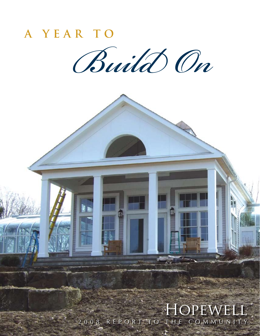

HOPEWELL 2008 REPORT<sup>T</sup>TO THE COMMUNITY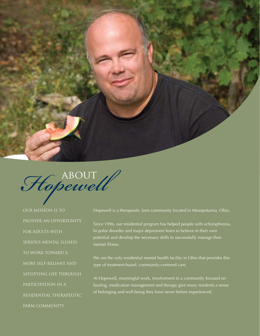

Hopewell

Our Mission is to provide an opportunity for adults with serious mental illness to work toward a more self-reliant and satisfying life through participation in a residential therapeutic farm community.

Hopewell is a therapeutic farm community located in Mesopotamia, Ohio.

Since 1996, our residential program has helped people with schizophrenia, bi-polar disorder and major depression learn to believe in their own potential and develop the necessary skills to successfully manage their mental illness.

We are the only residential mental health facility in Ohio that provides this type of treatment-based, community-centered care.

At Hopewell, meaningful work, involvement in a community focused on healing, medication management and therapy give many residents a sense of belonging and well-being they have never before experienced.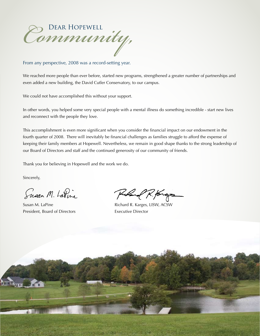

From any perspective, 2008 was a record-setting year.

We reached more people than ever before, started new programs, strengthened a greater number of partnerships and even added a new building, the David Cutler Conservatory, to our campus.

We could not have accomplished this without your support.

In other words, you helped some very special people with a mental illness do something incredible - start new lives and reconnect with the people they love.

This accomplishment is even more significant when you consider the financial impact on our endowment in the fourth quarter of 2008. There will inevitably be financial challenges as families struggle to afford the expense of keeping their family members at Hopewell. Nevertheless, we remain in good shape thanks to the strong leadership of our Board of Directors and staff and the continued generosity of our community of friends.

Thank you for believing in Hopewell and the work we do.

Sincerely,

Susan M. LaPine

President, Board of Directors Executive Director

when R. forgs

Susan M. LaPine **Richard R. Karges, LISW, ACSW** 

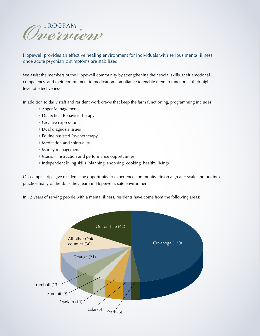

Hopewell provides an effective healing environment for individuals with serious mental illness once acute psychiatric symptoms are stabilized.

We assist the members of the Hopewell community by strengthening their social skills, their emotional competency, and their commitment to medication compliance to enable them to function at their highest level of effectiveness.

In addition to daily staff and resident work crews that keep the farm functioning, programming includes:

- Anger Management
- Dialectical Behavior Therapy
- Creative expression
- Dual diagnosis issues
- Equine Assisted Psychotherapy
- Meditation and spirituality
- Money management
- Music Instruction and performance opportunities
- Independent living skills (planning, shopping, cooking, healthy living)

Off-campus trips give residents the opportunity to experience community life on a greater scale and put into practice many of the skills they learn in Hopewell's safe environment.

In 12 years of serving people with a mental illness, residents have come from the following areas:

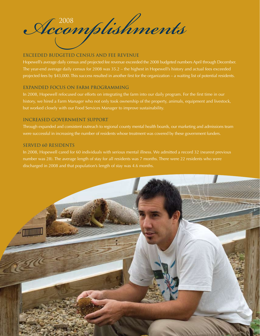*Accomplishments* <sup>2008</sup>

# Exceeded budgeted census and fee revenue

Hopewell's average daily census and projected fee revenue exceeded the 2008 budgeted numbers April through December. The year-end average daily census for 2008 was 35.2 – the highest in Hopewell's history and actual fees exceeded projected fees by \$43,000. This success resulted in another first for the organization – a waiting list of potential residents.

# Expanded focus on farm programming

In 2008, Hopewell refocused our efforts on integrating the farm into our daily program. For the first time in our history, we hired a Farm Manager who not only took ownership of the property, animals, equipment and livestock, but worked closely with our Food Services Manager to improve sustainability.

# Increased government support

Through expanded and consistent outreach to regional county mental health boards, our marketing and admissions team were successful in increasing the number of residents whose treatment was covered by these government funders.

# Served 60 residents

In 2008, Hopewell cared for 60 individuals with serious mental illness. We admitted a record 32 (nearest previous number was 28). The average length of stay for all residents was 7 months. There were 22 residents who were discharged in 2008 and that population's length of stay was 4.6 months.

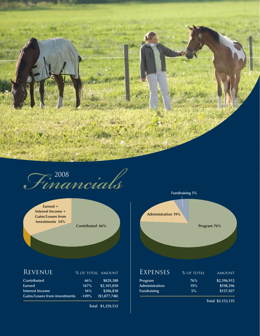

*Financials* <sup>2008</sup>

**Earned + Interest Income + Gains/Losses from investments 34%** 

# REVENUE % OF TOTAL AMOUNT

| 66%                                             | \$829,380    |
|-------------------------------------------------|--------------|
| 167%                                            | \$2.101.050  |
| 16%                                             | \$206.830    |
| <b>Gains/Losses from investments</b><br>$-149%$ | (S1.877.748) |
|                                                 |              |

**Total \$1,259,512** 



**Total \$3,153,135**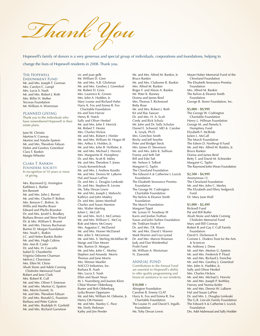*Thank You*

Hopewell's family of donors is a very generous and special group of individuals, corporations and foundations, helping to change the lives of Hopewell residents in 2008. Thank you.

#### The Hopewell

Endowment Fund Mr. and Mrs. Joseph T. Gorman Mrs. Carolyn C. Lampl Mrs. Lucia S. Nash Mr. and Mrs. Robert J. Roth Mrs. Billie H. Steffee Tecovas Foundation Mr. William A. Wortzman

#### PLANNED GIVING

Thank you to the individuals who have remembered Hopewell in their estate plans.

Jane W. Christie Martine V. Conway Morton and Natalie Epstein Mr. and Mrs. Theodore Fabyan Helen and Geofrey Greenleaf Clara T. Rankin Margie Wheeler

#### Clara T. Rankin

FOUNDERS SOCIETY In recognition of 10 years or more of giving.

Mrs. Raymond Q. Armington Kathleen L. Barber Jim Bennett Mr. and Mrs. John J. Bernet Mr. and Mrs. Charles P. Bolton Mrs. Kenyon C. Bolton, Sr. Willis and Martha Boyer Edward and Phyllis Brandon Dr. and Mrs. Jerald S. Brodkey Barbara Brown and Steve Ward Dr. & Mrs. William E. Bruner Mr. and Mrs. Harvey Buchanan Burton D. Morgan Foundation Mrs. Noah L. Butkin J.C. and Helen Rankin Butler Mr. and Mrs. Hugh Calkins Mrs. Ann B. Carter Dr. and Mrs. H. Cascorbi Isabel D. Chamberlin Virginia Osborne Charman Melvin J. Chavinson Mrs. Ellen W. Chinn Alvah Stone and Adele Corning Chisholm Memorial Fund Robert and Jane Clark Mrs. Robert R. Cull Mr. and Mrs. Oliver F. Emerson Mr. and Mrs. Morton G. Epstein Mrs. Morris Everett, Sr. Mr. and Mrs. Theodore Fabyan Dr. and Mrs. Ronald G. Fountain Barbara and Peter Galvin Mr. and Mrs. Rudolph H. Garfield Mr. and Mrs. Richard Garretson

vic and joan gelb Mr. William D. Ginn Mr. and Mrs. A.B. Glickman Mr. and Mrs. Geofrey J. Greenleaf Mr. Robert D. Gries Mrs. Laurence K. Groves Mrs. John A. Hadden, Jr. Mary Louise and Richard Hahn Harry K. Fox and Emma R. Fox Charitable Foundation Iris and Tom Harvie Henry R. Hatch Sally and Oliver Henkel Mr. and Mrs. John F. Herrick Mr. Robert T. Hexter Mrs. Charles Hickox Mr. and Mrs. Robert J. Himler Mr. and Mrs. William M. Hogan III Mrs. Arthur S. Holden, Jr. Mr. and Mrs. John B. Hollister, Jr. Mr. and Mrs. Michael J. Horvitz Mrs. Marguerite B. Humphrey Dr. and Mrs. Scott R. Inkley Mr. and Mrs. Theodore T. Jones Ursula Korneitchouk Mr. and Mrs. J. Andrew Kundtz Mr. and Mrs. Dennis W. LaBarre Hal and Susan LaPine Dr. and Mrs. L. Douglas Lenkoski Dr. and Mrs. Stephen B. Levine Ms. Toby Devan Lewis Mr. and Mrs. Joseph J. Mahovlic Kathryn and John Makley Dr. and Mrs. James Marshall Charles and Susan Marston Mrs. Walter Marting Julien L. McCall Mr. and Mrs. Arch J. McCartney Mr. and Mrs. William C. McCoy Rob and Merry McCreary Mrs. Augustus C. McDaniel Mr. and Mrs. Homer McDaniel Mrs. John S. McLennan Mr. and Mrs. S. Sterling McMillan III Marge and Dan Moore Mrs. Burton D. Morgan Mr. and Mrs. John C. Morley Stephen and Amanda Morris Thomas and Jane Morris Mrs. Werner Mueller NACCO Industries, Inc. Barbara B. Nash Mrs. Lucia S. Nash Ellen and Stuart Neye M. I. Nurenberg and Joanne Klein Chloe Warner Oldenburg Buster and Bob Oldenburg Lydia Bruner Oppmann Mr. and Mrs. William M. Osborne, Jr. Henry Ott-Hansen Mr. and Mrs. Stanley C. Pace Ms. Emily Parkman

Kathy and Jim Pender

**\$10,000 +**

Mr. and Mrs. Claiborne R. Rankin Mrs. Alfred M. Rankin Roger F. and Alison A. Rankin Mr. Peter K. Ranney Donna and James Reid Mrs. Thomas T. Richmond Betty Rose Mr. and Mrs. Robert J. Roth Kit and Ray Sawyer Dr. and Mrs. H. A. Scali Cindy and Rick Schulz Mr. John and Dr. Sally Schulze Daniel E. Schweid, MD & Carolee K. Lesyk, Ph.D. Mrs. Gretchen Smith Becky and Jeff Smythe Peter and Bridget Steck Mrs. James D. Stevenson Mr. and Mrs. John K. Sullivan Franny and Seth Taft Bill and Edie Taft Mr. Nelson S. Talbott Margaret G. Taplin The Cleveland Foundation The Edward A & Catherine L Lozick Foundation The Elisabeth Severance Prentiss Foundation The George W. Codrington Charitable Foundation The Kelvin & Eleanor Smith Foundation The Murch Foundation Margaret Tippit Mr. Lyman H. Treadway III Karin and Jordan Truthan Susan and John Turben Foundation Mr. Tinkham Veale II Dr. and Mrs. T.R. Warm Mr. and Mrs. David I. Warren Mark Warren and Lisa Lystad Dr. and Mrs. Marvin Wasman Judy and Dan Weidenthal Pysht Fund Mr. William A. Wortzman N. Zaworski

Mr. and Mrs. Alfred M. Rankin, Jr.

Bruce Rankin

#### ANNUAL FUND

Contributions to the Annual Fund are essential to Hopewell's ability to offer quality programming and financial assistance to our residents.

Abington Foundation Caroline B. Emeny CLAT Harry K. Fox and Emma R. Fox Charitable Foundation The Louise H. and David S. Ingalls Foundation Ms. Toby Devan Lewis

Mayer-Haber Memorial Fund of the Cleveland Foundation The Elisabeth Severance Prentiss Foundation Mrs. Alfred M. Rankin The Kelvin & Eleanor Smith Foundation George B. Storer Foundation, Inc.

#### **\$5,000 - \$9,999**

The George W. Codrington Charitable Foundation Henry L. Hillman Foundation George M. and Pamela S. Humphrey Fund Elizabeth F. McBride Julien L. McCall The Murch Foundation The Edwin D. Northrup II Fund Mr. and Mrs. Alfred M. Rankin, Jr. Bruce Rankin Donna and James Reid Betty T. and David M. Schneider Margaret G. Taplin The Raymond John Wean Foundation

**\$2,500 - \$4,999** Anonymous (1) The Cleveland Foundation Mr. and Mrs. John C. Morley The Elizabeth and Ellery Sedgwick Fund Dr. Mary June Wall

#### **\$1,000 - \$2,499**

Bicknell Fund Pat and Bill Butler Alvah Stone and Adele Corning Chisholm Memorial Fund Mary and Bill Conway Robert R and Gay C Cull Family Foundation David S. Dickenson II Corinne L. Dodero Trust for the Arts & Sciences Mr. Anthony J. Drew Mr. and Mrs. Morton G. Epstein Mr. and Mrs. Frederick P. Floyd Mr. and Mrs. Richard J. Frenchie Mr. and Mrs. Geofrey J. Greenleaf Mrs. John A. Hadden, Jr. Sally and Oliver Henkel Mrs. Charles Hickox Mr. and Mrs. Michael J. Horvitz Mr. and Mrs. Joseph P. Keithley Harvey and Norma Kotler Mr. and Mrs. Dennis W. LaBarre Hal and Susan LaPine Dr. and Mrs. L. Douglas Lenkoski The G.R. Lincoln Family Foundation The Edward A & Catherine L Lozick Foundation Drs. Adel Mahmoud and Sally Hodder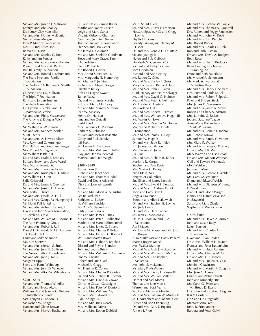Mr. and Mrs. Joseph J. Mahovlic Kathryn and John Makley Dr. Nancy Clay Marsteller Mr. and Mrs. Homer McDaniel Ms. Suzanne Morgan John P. Murphy Foundation NACCO Industries, Inc. Barbara B. Nash Mr. and Mrs. Stanley C. Pace Kathy and Jim Pender Mr. and Mrs. Claiborne R. Rankin Roger F. and Alison A. Rankin RIG III Family Foundation Mr. and Mrs. Ronald L. Schumann The Sears-Swetland Family Foundation The Dudley P. & Barbara K. Sheffler Foundation Catherine and J.D. Sullivan The Triple T Foundation Karin and Jordan Truthan The Veale Foundation Dr. Cynthia S. Vrabel and Dr. Matthew M. Vrabel Mr. and Mrs. Philip Wasserstrom The Allayne & Douglas Wick Foundation Mr. William A. Wortzman Mr. and Mrs. Kenneth Zeisler **\$500 - \$999** Mr. and Mrs. A. Edward Albert Mrs. Raymond Q. Armington Drs. Nathan and Sosamma Berger Mrs. Robert M. Biggar, Sr. Mr. William P. Blair III Dr. and Mrs. Jerald S. Brodkey Barbara Brown and Steve Ward Mrs. Morris Everett, Sr. Mr. and Mrs. Theodore Fabyan Mr. and Mrs. Rudolph H. Garfield Mr. William D. Ginn Sally Griswold Dr. and Mrs. James P. Guerrieri Mr. and Mrs. Joseph D. Harnett Mrs. Edith F. Hirsch Mr. and Mrs. Hadlai A. Hull Mr. and Mrs. George M. Humphrey II Mr. Henri Pell Junod, Jr. Mr. and Mrs. Arthur J. Lafave, Jr. David and Inez Myers Foundation, Cleveland, Ohio Mr. and Mrs. William M. Osborne, Jr. The Roth Pharmacy Group Mr. and Mrs. Robert J. Roth Daniel E. Schweid, MD & Carolee K. Lesyk, Ph.D. Laura and Mike Shannon Ms. Kim Sherwin Mr. and Mrs. Morton S. Smith Mr. and Mrs. John K. Sullivan The Nelson Talbott Foundation Mr. and Mrs. John J. Tanis Margaret Tippit Steve and Penni Weinberg Mr. and Mrs. John D. Wheeler Mr. and Mrs. Alton W. Whitehouse

#### **\$250 - \$499**

Mr. and Mrs. Thomas W. Adler Barbara and Bruce Akers William H. and Jeanne G. Belden Philanthropic Fund Mrs. Kenyon C. Bolton, Sr. Mr. Robert W. Briggs Jeanette and Glenn Brown Mr. and Mrs. Harvey Buchanan

J.C. and Helen Rankin Butler Martha and Randy Carson Leigh and Mary Carter Virginia Osborne Charman Grant and Jennifer Dinner The Forhan Family Foundation Stephen and Lisa Geber Mr. Jerold L. Goldman Mr. and Mrs. Sheldon Goodman Steve and Mary Graves Family Foundation Henry R. Hatch Mr. Robert T. Hexter Mrs. Arthur S. Holden, Jr. Mrs. Marguerite B. Humphrey Mr. Charles F. Jenkins Richard and Megan Karges Elizabeth Kelley Bob and Elayne Kwait Tamar Maltz Dr. and Mrs. James Marshall Rob and Merry McCreary Mr. and Mrs. Stanley A. Meisel Jean W. Moseley Henry Ott-Hansen Jane and Jon Outcalt Pysht Fund Mrs. Frederick C. Robbins Barbara S. Robinson Miriam and Melvin Rosenthal Cindy and Rick Schulz Jeff Scott Mr. Lyman H. Treadway III Mr. and Mrs. William O. Tuttle Judy and Dan Weidenthal Marshall and Lind Wright **\$100 - \$249** Anonymous (1) Richard and Janet Aach Mr. and Mrs. Thomas R. Abel David and Devra Adelstein Dick and Joan Ainsworth Ancora Mr. and Mrs. Albert A. Augustus Les Ballard, MD Kathleen L. Barber H. William Beechler

Ms. Amy V. Bennett and Mr. Justin Simons Mr. and Mrs. James L. Biek Mr. and Mrs. Peter B. Billington Marlene and Harold Blumenthal Mr. and Mrs. James C. Boland Mr. and Mrs. Charles P. Bolton Mr. and Mrs. Kenyon C. Bolton III Willis and Martha Boyer Mr. and Mrs. Gabor S. Brachna Edward and Phyllis Brandon Tom and Louise Brick Mr. and Mrs. William H. Carpenter Jane W. Christie Robert and Jane Clark Michael A. Clegg Mr. Franklin R. Cohen Mr. and Mrs. Charles P. Cooley Dr. and Mrs. Richard B. Corradi Mr. and Mrs. David A. Cowan Christine Cowan-Gascoigne Mr. and Mrs. Peter W. Danford Mr. and Mrs. William Day Mr. and Mrs. Edward H. deConingh, Jr. Mr. and Mrs. Rick Doody Mrs. Millicent Driver Mr. and Mrs. Robert Dubicki

Mr. and Mrs. Oliver F. Emerson Howard Epstein, MD and Gregg Levine Phyllis H. Evans Beverly Ludwig and Stanley M. Fisher Dr. and Mrs. Ronald G. Fountain vic and joan gelb Helen and Bob Gelbach Elizabeth N. Gersten, MD Richard and Kathy Goldman Tom Goodman Richard and Ann Gridley Mr. Robert D. Gries Mr. and Mrs. Harley I. Gross Mary Louise and Richard Hahn Mr. and Mrs. John C. Harris Clark Harvey and Holly Selvaggi Mr. and Mrs. David G. Heiman Mr. and Mrs. Peter S. Hellman Ms. Lorelei M. Hertvik Mrs. Roland Hill Mr. and Mrs. Robert J. Himler Mr. and Mrs. William M. Hogan III Mr. Martin R. Hoke Mr. and Mrs. Douglas M. Horner Marcy and Richard Horvitz Foundation Mr. and Mrs. James H. Hoyt Samuel W. Hughes Dr. and Mrs. Scott R. Inkley E.T. Jeffery Foundation Mrs. Brooks M. Jones JTO, Inc. Mr. and Mrs. Richard R. Kaiser Marjorie R. Karges Stephen and Pam Keefe Mrs. Walter C. Kelley Nina Klein, MD Knights of Columbus Sue Ellen and Jeffrey Korach Mr. and Mrs. Ewald E. Kundtz, Jr. Mr. and Mrs. J. Andrew Kundtz Todd and Carol Kwait Angela Lawrence Bertram and Alice Lefkowich Dr. and Mrs. Stephen B. Levine Ms. Judy Lewis Dr. and Mrs. Hans Luders Ms. Jean C. Mackenzie Dr. M. E. Maguire and R. A. Macedonio April Mapes Ms. Leslie M. Mapes and Mr. Justin T. Rogers Alan Markowitz and Cathy Pollard Martha Rogers Marsh Mrs. Walter Marting Mr. and Mrs. Arch J. McCartney Mr. and Mrs. William C. McCoy Mr. and Mrs. Christopher J. McKenna Mrs. John S. McLennan Ms. Mary P. McWatters Mr. and Mrs. Henry L. Meyer III Mr. and Mrs. William Miller II Harriet and Mel Morris Thomas and Jane Morris Warren and Betsi Morris Scott and Margaret Mueller Mr. and Mrs. Latham W. Murfey III M. I. Nurenberg and Joanne Klein Buster and Bob Oldenburg Dr. and Mrs. Gary T. Pagano Pamela J. Plott

Mr. S. Stuart Eilers

Mr. and Mrs. Richard W. Pogue Mr. and Mrs. Thomas A. Quintrell Drs. Robert and Peggy Ratcheson Mr. and Mrs. John M. Reed Mr. and Mrs. Tom Rericha Mrs. Robert Rhode Mr. and Mrs. Charles T. Riehl Rob and Trish Risman Dr. and Mrs. David A. Rodgers Betty Rose Mr. and Mrs. Neil T. Ruddock Ryan Heating, Cooling and Plumbing Inc. Franz and Beth Sauerland Mr. Michael A. Schumann Mr. Mark Schwartz and Dr. Bettina Katz Mr. and Mrs. Henry E. Seibert IV Drs. Jerry and Linda Shuck Mr. and Mrs. Robert F. Sposito Peter and Bridget Steck Mrs. James D. Stevenson Mr. and Mrs. James R. Stover Robert and Chary Sundstrom Mrs. Lorraine S. Szabo Joe and Susanne Teague Anne Marie Kollander and Mark W. Teague Mr. and Mrs. Ronald J. Todaro Mr. Richard Tomko Mr. and Mrs. Randy G. Verner Mrs. Clare R. Walker Mr. and Mrs. James C. Wallace Dr. and Mrs. T.R. Warm Mark Warren and Lisa Lystad Dr. and Mrs. Marvin Wasman Gail and Edward Weintraub Mort Weisberg Jerome F. Weiss Mr. and Mrs. Richard J. Welder Ms. Carol M. Wellman Diane and Edward Welsh Mr. and Mrs. Dickson Whitney, Jr. Ed Wortzman Alan D. and Gloria Wright Nancy and Daniel Zavelson N. Zaworski Susan and Marc Ziegler Stephen and Wendy Zinn

#### **Up to \$100**

Mr. and Mrs. Steven A. Arnold John and Susan Bazyk Leigh Bennett Mr. and Mrs. Charles A. Bittenbender Hyatt and Brian Bolden Dr. & Mrs. William E. Bruner Frances and Peter Buttenheim Mr. and Mrs. Hugh Calkins Dr. and Mrs. Charles M. Carr Dr. and Mrs. H. Cascorbi Mr. and Mrs. Lucien H. Case Melvin J. Chavinson Mr. and Mrs. Martin P. Coughlin Mrs. Jean G. Daniel Charles and Abbie Daroff John and Kimberly Ertz Ms. Carol G. Evans and Mr. Bruce D. Evans Drs. John and Elizabeth Feighan R & V Fiordalis Don and Flo Fitzgerald Margaret Ann Freer Betty R. Friedlander Barbara and Peter Galvin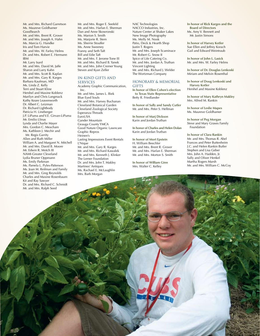Mr. and Mrs. Richard Garretson Ms. Maureve Goldhamer GoodSearch Mr. and Mrs. Brent R. Grover Mr. and Mrs. Joseph A. Hahn Ms. Marcia G. Handke Iris and Tom Harvie Mr. and Mrs. W. Farley Helms Dr. and Mrs. Robert E. Hermann IBM Mr. Larry Isard Mr. and Mrs. David M. Jaffe Sharon and Larry Kahn Mr. and Mrs. Scott B. Kaplan Mr. and Mrs. Gary R. Karges Barbara Kaufman, MD Ms. Linda Z. Kelly Terri and Stuart Kline Hershel and Maxine Koblenz Marilyn and Chris Langmack Kathy Keare Leavenworth Dr. Albert C. Leizman Dr. Richard Lightbody Patricia H. Lineberger J.P. LiPuma and V.E. Girvan-LiPuma Mr. Emilio Llinas Lynda and Charlie Mayer Mrs. Gordon C. Meacham Ms. Kathleen J. Mechir and Mr. Regis Garrity Allen and Ruth Miller William A. and Margaret N. Mitchell Mr. and Mrs. David B. Moore Mr. Edwin R. Motch III NAMI-Greater Cleveland Lydia Bruner Oppmann Ms. Emily Parkman Ms. Pamela L. Pyles-Patterson Ms. Joan M. Reifman and Family Mr. and Mrs. Greg Reynolds Charles and Maxine Rosenbaum Kit and Ray Sawyer Dr. and Mrs. Richard C. Schmidt Mr. and Mrs. Ralph Seed

Mr. and Mrs. Roger E. Seefeld Mr. and Mrs. Harlan E. Sherman Dan and Anne Skowronski Ms. Marion S. Smith Ms. Marjorie R. Stern Ms. Sherrie Stouffer Ms. Anne Sweeney Franny and Seth Taft Bill and Edie Taft Mr. and Mrs. F. Jerome Tone III Mr. and Mrs. Richard B. Yanek Mr. and Mrs. John Cremer Young Steven and Kyan Zeller

#### IN-KIND GIFTS AND SERVICES

Academy Graphic Communication, Inc. Mr. and Mrs. James L. Biek Blue Eyed Souls Mr. and Mrs. Harvey Buchanan Cleveland Botanical Garden Cleveland Zoological Society Esperanza Threads EuroUSA Gander Mountain Geauga County YMCA Good Nature Organic Lawncare Graphic Repros Heinen's Lasting Impressions Event Rentals L'Nique Mr. and Mrs. Gary R. Karges Mr. and Mrs. Richard Kawalek Mr. and Mrs. Kenneth J. Klinker The Lerner Foundation Dr. and Mrs. John T. Makley Martines' Antiques Ms. Rachael E. McLaughlin Mrs. Barb Morgan

NAC Technologies NACCO Industries, Inc. Nature Center at Shaker Lakes New Image Photography Ms. Molly M. Nook Patio, Deck & Hearth Shop Justin T. Rogers Mr. and Mrs. Joseph Scaminace Mr. Robert G. Snow II Spice of Life Catering Co. Mr. and Mrs. Jordan A. Truthan Vincent Lighting Mr. and Mrs. Richard J. Welder The Wortzman Company

### HONORARY & MEMORIAL **GIFTS**

**In honor of Ellen Cohen's election to Texas State Representative** Betty R. Friedlander

**In honor of Sally and Sandy Cutler** Mr. and Mrs. Peter S. Hellman

**In honor of Marj Dickson** Karin and Jordan Truthan

**In honor of Charles and Helen Dolan** Karin and Jordan Truthan

**In honor of Mort Epstein** H. William Beechler Mr. and Mrs. Brent R. Grover Mr. and Mrs. Harlan E. Sherman Mr. and Mrs. Morton S. Smith

**In honor of William Ginn** Mrs. Walter C. Kelley

**In honor of Rick Karges and the Board of Directors** Ms. Amy V. Bennett and Mr. Justin Simons

**In honor of Harvey Kotler** Sue Ellen and Jeffrey Korach Gail and Edward Weintraub

**In honor of John L. Lasick** Mr. and Mrs. W. Farley Helms

**In honor of Dr. Douglas Lenkoski** Miriam and Melvin Rosenthal

**In honor of Doug Lenkoski and Harvey Kotler** Hershel and Maxine Koblenz

**In honor of Mary Kathryn Makley** Mrs. Alfred M. Rankin

**In honor of Leslie Mapes** Ms. Maureve Goldhamer

**In honor of Peg Morgan** Steve and Mary Graves Family Foundation

**In honor of Clara Rankin** Mr. and Mrs. Thomas R. Abel Frances and Peter Buttenheim J.C. and Helen Rankin Butler Stephen and Lisa Geber Mrs. John A. Hadden, Jr. Sally and Oliver Henkel Martha Rogers Marsh Mr. and Mrs. William C. McCoy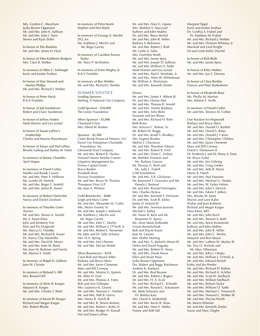Mrs. Gordon C. Meacham Lydia Bruner Oppmann Mr. and Mrs. John K. Sullivan Mr. and Mrs. John J. Tanis Steven and Kyan Zeller

**In honor of The Rankins** Mr. and Mrs. James H. Hoyt

**In honor of Miss Kathleen Rodgers** Mrs. Clare R. Walker

**In memory of Allan C. Schinagle** Karin and Jordan Truthan

**In honor of Dan Stanard and Marian Philips** Mr. and Mrs. Richard J. Welder

**In honor of Peter Steck** R & V Fiordalis

**In honor of Juli Sundstrom** Robert and Chary Sundstrom

**In honor of Jeffrey Suskin** Mark Warren and Lisa Lystad

**In honor of Susan LaPine's Leadership** Charles and Maxine Rosenbaum

**In honor of Susan and Hal LaPine** Beverly Ludwig and Stanley M. Fisher

**In memory of Jimmy Chandler** April Mapes

**In memory of David Cutler** Martha and Randy Carson Mr. and Mrs. Peter S. Hellman Ms. Lorelei M. Hertvik Mr. and Mrs. Roger E. Seefeld Mr. and Mrs. James R. Stover

**In memory of Robert Delvichio** Nancy and Daniel Zavelson

**In memory of Timothy Geier** Ancora Mr. and Mrs. Steven A. Arnold Mr. S. Stuart Eilers John and Kimberly Ertz Don and Flo Fitzgerald Ms. Marcia G. Handke Mr. and Mrs. Richard R. Kaiser Dr. Nancy Clay Marsteller Mr. and Mrs. David B. Moore Mr. and Mrs. John M. Reed Ms. Joan M. Reifman and Family Ms. Marion S. Smith

**In memory of Ralph H. Gibbon** Jane W. Christie

**In memory of Roland S. Hill** Mrs. Roland Hill

**In memory of Alvin H. Karges** Marjorie R. Karges Mr. and Mrs. Charles T. Riehl

**In memory of Kevin W. Karges** Richard and Megan Karges Mrs. Robert Rhode

**In memory of Peter Keefe** Stephen and Pam Keefe

**In memory of George X. Mechir** JTO, Inc. Ms. Kathleen J. Mechir and Mr. Regis Garrity

**In memory of Caroline Emeny Taylor**

Ms. Mary P. McWatters

**In memory of Ernie Wagley, Jr.** R & V Fiordalis

**In memory of Roy Welder** Mr. and Mrs. Richard J. Welder

SUMMER SOLSTICE

**Leading Sponsor** Sterling, A National City Company

**Gold Sponsor - \$10,000** The Lerner Foundation

**Silver Sponsor - \$5,000** Cleveland Clinic Mrs. Alfred M. Rankin

#### **Sponsor - \$2,500**

Cedar Brook Financial Partners, LLC Forest City Enterprises Charitable Foundation, Inc. Glenmede Trust Company Mr. and Mrs. Robert K. Healey Howard Hanna Smythe Cramer Litigation Management Inc. Primus Capital Funds Bruce Rankin Elizabeth Rose Tecovas Foundation Mr. and Mrs. Bruce W. Thomas Thompson Hine LLP Ms. Jean A. Whelan

**Gold Benefactor - \$400** Leigh and Mary Carter Mr. and Mrs. Alexander M. Cutler Mrs. Morris Everett, Sr. Mr. and Mrs. Joseph J. Mahovlic Ms. Kathleen J. Mechir and Mr. Regis Garrity Mr. and Mrs. John C. Morley Mr. and Mrs. William J. O'Neill, Jr. Mr. and Mrs. Robert E. Parmenter Mr. John and Dr. Sally Schulze Mrs. H.A. Spring Mr. and Mrs. Hal Uhrman Mr. and Mrs. Declan Walsh

**Silver Benefactor - \$250** Carol Rolf and Steven Adler Barbara and Bruce Akers Mr. and Mrs. Javier Clemente Mary and Bill Conway Mr. and Mrs. Morton G. Epstein Mr. Allen H. Ford Mr. and Mrs. Thomas A. Futey Bob and Ann Gillespie Mrs. Laurence K. Groves Mr. and Mrs. Norman C. Harbert Mr. and Mrs. Seth B. Harris Mrs. Henry R. Hatch III Mr. and Mrs. R. Steven Kestner Mr. and Mrs. Robert I. Kohn, Jr. Mr. and Mrs. Rodger H. Kowall Hal and Susan LaPine

Mr. and Mrs. Alan G. Lipson Mrs. Sheldon S. MacLeod Kathryn and John Makley Dr. and Mrs. Beno Michel Mr. and Mrs. John R. Miller Barbara S. Robinson Mr. and Mrs. Robert J. Roth Ms. Leslie A. Sabo Mrs. Gretchen Smith Mr. and Mrs. James Spira Mr. and Mrs. Joseph D. Sullivan Mr. and Mrs. William O. Tuttle Mark Warren and Lisa Lystad Mr. and Mrs. Paul E. Westlake, Jr. Mr. and Mrs. Alton W. Whitehouse Mr. William A. Wortzman Mr. and Mrs. Kenneth Zeisler

#### **Donor**

Mr. and Mrs. James S. Abbott III Dr. and Mrs. Hymie Akst Mr. and Mrs. Thomas R. Arnold Mr. and Mrs. Hunter Banbury Mr. and Mrs. Felix Belin Suzanne and Jim Blaser Mr. and Mrs. Richard H. Bole Beth Boles Mrs. Kenyon C. Bolton, Sr. Mr. Robert W. Briggs Dr. and Mrs. Jerald S. Brodkey Mrs. Eugene Brudno Melvin J. Chavinson Mr. and Mrs. Theodore Fabyan Mr. and Mrs. Robert B. Ford Mr. and Mrs. Drew C. Forhan Mr. Sheldon Fromson and Ms. Barbara Garson Mr. Thomas G. Reid and Ms. Sally L. Futrell GAR Foundation Mr. and Mrs. A.B. Glickman Mr. Raymond T. Gonzalez and Ms. Pamela J. Bertaud Mr. and Mrs. Ronald Harrington Mrs. Charles Hickox Mr. and Mrs. Kenneth F. Holzman Dr. and Mrs. Scott R. Inkley James D. Ireland III Mr. and Mrs. Norman Jeavons Michael J. Kelley Ms. Susan R. Kent and Mr. Benjamin O. Sperry Ms. Anne Marie Kollander Ursula Korneitchouk Bob and Elayne Kwait Jean M. Latimer Mrs. Walter Marting Mr. and Mrs. A. Malachi Mixon III Helen and David Nagusky Mr. and Mrs. Robert D. Neary Mr. and Mrs. Derek Nevar Ellen and Stuart Neye Lydia Bruner Oppmann Drs. Robert and Peggy Ratcheson Andrew K. Rayburn Dr. and Mrs. Rod Rezaee Mr. and Mrs. Robert J. Rogers Dr. and Mrs. H. A. Scali Dr. and Mrs. Richard C. Schmidt Mr. and Mrs. Ronald L. Schumann Mr. Mark Schwartz and Dr. Bettina Katz Mrs. David A. Seidenfeld Mr. and Mrs. Kevin B. Shaw Mr. and Mrs. Peter E. Steffes Franny and Seth Taft

Margaret Tippit Karin and Jordan Truthan Dr. Cynthia S. Vrabel and Dr. Matthew M. Vrabel Mr. and Mrs. Richard J. Welder Mr. and Mrs. Dickson Whitney, Jr. Marshall and Lind Wright Ed and Linda Keller Zierold

**In honor of Bob Roth** Mr. and Mrs. James Spira

**In honor of Kitty Makley** Mr. and Mrs. Jon E. Denney

**In honor of Clara Rankin** Frances and Peter Buttenheim

**In honor of Elizabeth Rose** Ms. Phyllis M. Martien Mrs. Ralston F. Smith

**In memory of David Cutler** Mr. and Mrs. Terence M. Collier

**Live Auction for Hopewell** Barbara and Bruce Akers Mr. and Mrs. Harold O. Bartlett Mr. and Mrs. David A. Bates Mr. and Mrs. Donald J. Cairns Mr. and Mrs. Christopher Childres Mr. and Mrs. Javier Clemente Mary and Bill Conway David S. Dickenson II Dr. Frederick J. and Dr. Penny A. Frese Mr. Bruce Fuller Mr. and Mrs. Jim Gehring Mr. and Mrs. Craig Gretter Mr. and Mrs. Seth B. Harris Henry R. Hatch Mr. and Mrs. Paul Havener Mr. and Mrs. Michael G. Healey Mr. and Mrs. W. Farley Helms Mr. and Mrs. John F. Herrick Mr. and Mrs. Edwin T. Jeffery Mrs. Brooks M. Jones Sharon and Larry Kahn Walter and Jean Kalberer Richard and Megan Karges Nina Klein, MD Mr. and Mrs. John Koch Mr. and Mrs. Stewart A. Kohl Mr. and Mrs. Kevin Kruszenski Kathryn and John Makley Mr. and Mrs. John R. Miller Mr. and Mrs. John C. Morley Marjorie and Bert Moyar Mr. and Mrs. Latham W. Murfey III Ms. Tina O. Nichols and Mr. Marc Silberman Mr. and Mrs. John J. Olejko Mr. and Mrs. William J. O'Neill, Jr. Mr. and Mrs. Edward Pavlish Kathy and Jim Pender Mr. and Mrs. Richard D. Robins Mr. and Mrs. Richard A. Schiller Mr. and Mrs. Scott W. Seelbach Mr. and Mrs. William Seelbach Mr. and Mrs. Ryburn Taylor Mr. and Mrs. William O. Tuttle Mr. and Mrs. Michael C. Voinovich Mr. and Mrs. Howard C. Walker III Mr. and Mrs. Declan Walsh Mr. Morris Wheeler Mr. and Mrs. Kenneth Zeisler Susan and Marc Ziegler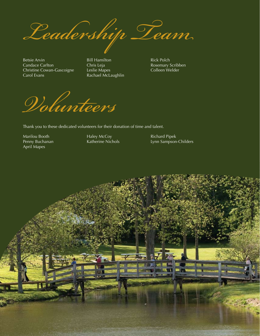*Leadership Team*

Betsie Arvin Candace Carlton Christine Cowan-Gascoigne Carol Evans

Bill Hamilton Chris Leja Leslie Mapes Rachael McLaughlin Rick Polch Rosemary Scribben Colleen Welder

*Volunteers*

Thank you to these dedicated volunteers for their donation of time and talent.

Marilou Booth Penny Buchanan April Mapes

Haley McCoy Katherine Nichols Richard Pipek Lynn Sampson-Childers